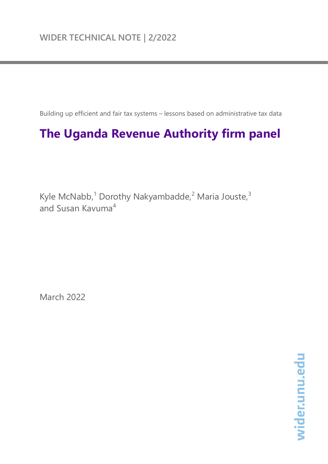Building up efficient and fair tax systems – lessons based on administrative tax data

# **The Uganda Revenue Authority firm panel**

Kyle McNabb,<sup>1</sup> Dorothy Nakyambadde,<sup>2</sup> Maria Jouste,<sup>3</sup> and Susan Kavuma<sup>4</sup>

March 2022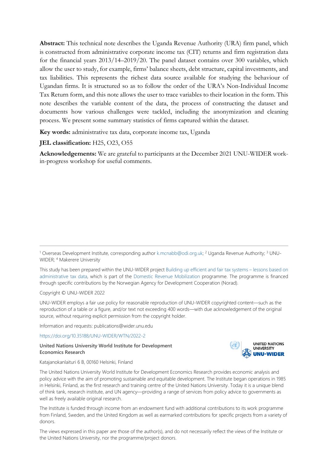**Abstract:** This technical note describes the Uganda Revenue Authority (URA) firm panel, which is constructed from administrative corporate income tax (CIT) returns and firm registration data for the financial years 2013/14–2019/20. The panel dataset contains over 300 variables, which allow the user to study, for example, firms' balance sheets, debt structure, capital investments, and tax liabilities. This represents the richest data source available for studying the behaviour of Ugandan firms. It is structured so as to follow the order of the URA's Non-Individual Income Tax Return form, and this note allows the user to trace variables to their location in the form. This note describes the variable content of the data, the process of constructing the dataset and documents how various challenges were tackled, including the anonymization and cleaning process. We present some summary statistics of firms captured within the dataset.

**Key words:** administrative tax data, corporate income tax, Uganda

#### **JEL classification:** H25, O23, O55

**Acknowledgements:** We are grateful to participants at the December 2021 UNU-WIDER workin-progress workshop for useful comments.

This study has been prepared within the UNU-WIDER projec[t Building up efficient and fair tax systems –](https://www.wider.unu.edu/node/236947) lessons based on [administrative tax data,](https://www.wider.unu.edu/node/236947) which is part of the [Domestic Revenue Mobilization](https://www.wider.unu.edu/node/237587) programme. The programme is financed through specific contributions by the Norwegian Agency for Development Cooperation (Norad).

Copyright © UNU-WIDER 2022

UNU-WIDER employs a fair use policy for reasonable reproduction of UNU-WIDER copyrighted content—such as the reproduction of a table or a figure, and/or text not exceeding 400 words—with due acknowledgement of the original source, without requiring explicit permission from the copyright holder.

Information and requests: publications@wider.unu.edu

<https://doi.org/10.35188/UNU-WIDER/WTN/2022-2>

#### **United Nations University World Institute for Development Economics Research**



Katajanokanlaituri 6 B, 00160 Helsinki, Finland

The United Nations University World Institute for Development Economics Research provides economic analysis and policy advice with the aim of promoting sustainable and equitable development. The Institute began operations in 1985 in Helsinki, Finland, as the first research and training centre of the United Nations University. Today it is a unique blend of think tank, research institute, and UN agency—providing a range of services from policy advice to governments as well as freely available original research.

The Institute is funded through income from an endowment fund with additional contributions to its work programme from Finland, Sweden, and the United Kingdom as well as earmarked contributions for specific projects from a variety of donors.

The views expressed in this paper are those of the author(s), and do not necessarily reflect the views of the Institute or the United Nations University, nor the programme/project donors.

<sup>1</sup> Overseas Development Institute, corresponding author [k.mcnabb@odi.org.uk;](mailto:k.mcnabb@odi.org.uk) <sup>2</sup> Uganda Revenue Authority; 3 UNU-WIDER; 4 Makerere University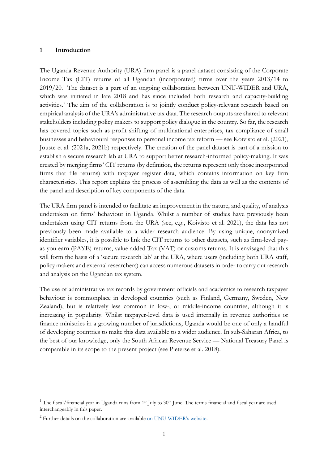#### **1 Introduction**

The Uganda Revenue Authority (URA) firm panel is a panel dataset consisting of the Corporate Income Tax (CIT) returns of all Ugandan (incorporated) firms over the years 2013/14 to 2019/20. [1](#page-2-0) The dataset is a part of an ongoing collaboration between UNU-WIDER and URA, which was initiated in late 2018 and has since included both research and capacity-building activities.<sup>[2](#page-2-1)</sup> The aim of the collaboration is to jointly conduct policy-relevant research based on empirical analysis of the URA's administrative tax data. The research outputs are shared to relevant stakeholders including policy makers to support policy dialogue in the country. So far, the research has covered topics such as profit shifting of multinational enterprises, tax compliance of small businesses and behavioural responses to personal income tax reform — see Koivisto et al. (2021), Jouste et al. (2021a, 2021b) respectively. The creation of the panel dataset is part of a mission to establish a secure research lab at URA to support better research-informed policy-making. It was created by merging firms' CIT returns (by definition, the returns represent only those incorporated firms that file returns) with taxpayer register data, which contains information on key firm characteristics. This report explains the process of assembling the data as well as the contents of the panel and description of key components of the data.

The URA firm panel is intended to facilitate an improvement in the nature, and quality, of analysis undertaken on firms' behaviour in Uganda. Whilst a number of studies have previously been undertaken using CIT returns from the URA (see, e.g., Koivisto et al. 2021), the data has not previously been made available to a wider research audience. By using unique, anonymized identifier variables, it is possible to link the CIT returns to other datasets, such as firm-level payas-you-earn (PAYE) returns, value-added Tax (VAT) or customs returns. It is envisaged that this will form the basis of a 'secure research lab' at the URA, where users (including both URA staff, policy makers and external researchers) can access numerous datasets in order to carry out research and analysis on the Ugandan tax system.

The use of administrative tax records by government officials and academics to research taxpayer behaviour is commonplace in developed countries (such as Finland, Germany, Sweden, New Zealand), but is relatively less common in low-, or middle-income countries, although it is increasing in popularity. Whilst taxpayer-level data is used internally in revenue authorities or finance ministries in a growing number of jurisdictions, Uganda would be one of only a handful of developing countries to make this data available to a wider audience. In sub-Saharan Africa, to the best of our knowledge, only the South African Revenue Service — National Treasury Panel is comparable in its scope to the present project (see Pieterse et al. 2018).

<span id="page-2-0"></span><sup>&</sup>lt;sup>1</sup> The fiscal/financial year in Uganda runs from  $1<sup>st</sup>$  July to  $30<sup>th</sup>$  June. The terms financial and fiscal year are used interchangeably in this paper.

<span id="page-2-1"></span><sup>2</sup> Further details on the collaboration are available [on UNU-WIDER's website.](https://www.wider.unu.edu/about/building-efficient-and-fair-tax-systems-%E2%80%93-lessons-uganda)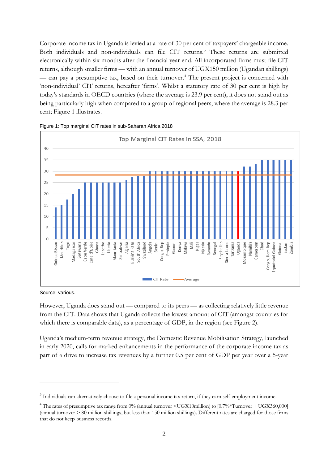Corporate income tax in Uganda is levied at a rate of 30 per cent of taxpayers' chargeable income. Both individuals and non-individuals can file CIT returns.<sup>[3](#page-3-0)</sup> These returns are submitted electronically within six months after the financial year end. All incorporated firms must file CIT returns, although smaller firms — with an annual turnover of UGX150 million (Ugandan shillings) — can pay a presumptive tax, based on their turnover.<sup>[4](#page-3-1)</sup> The present project is concerned with 'non-individual' CIT returns, hereafter 'firms'. Whilst a statutory rate of 30 per cent is high by today's standards in OECD countries (where the average is 23.9 per cent), it does not stand out as being particularly high when compared to a group of regional peers, where the average is 28.3 per cent; Figure 1 illustrates.





Source: various.

However, Uganda does stand out — compared to its peers — as collecting relatively little revenue from the CIT. Data shows that Uganda collects the lowest amount of CIT (amongst countries for which there is comparable data), as a percentage of GDP, in the region (see Figure 2).

Uganda's medium-term revenue strategy, the Domestic Revenue Mobilisation Strategy, launched in early 2020, calls for marked enhancements in the performance of the corporate income tax as part of a drive to increase tax revenues by a further 0.5 per cent of GDP per year over a 5-year

<span id="page-3-0"></span><sup>&</sup>lt;sup>3</sup> Individuals can alternatively choose to file a personal income tax return, if they earn self-employment income.

<span id="page-3-1"></span><sup>4</sup> The rates of presumptive tax range from 0% (annual turnover <UGX10million) to [0.7%\*Turnover + UGX360,000] (annual turnover  $> 80$  million shillings, but less than 150 million shillings). Different rates are charged for those firms that do not keep business records.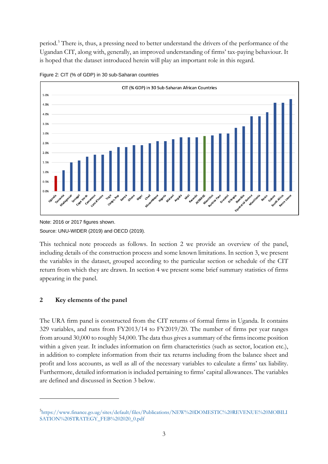period.[5](#page-4-0) There is, thus, a pressing need to better understand the drivers of the performance of the Ugandan CIT, along with, generally, an improved understanding of firms' tax-paying behaviour. It is hoped that the dataset introduced herein will play an important role in this regard.





Note: 2016 or 2017 figures shown. Source: UNU-WIDER (2019) and OECD (2019).

This technical note proceeds as follows. In section 2 we provide an overview of the panel, including details of the construction process and some known limitations. In section 3, we present the variables in the dataset, grouped according to the particular section or schedule of the CIT return from which they are drawn. In section 4 we present some brief summary statistics of firms appearing in the panel.

# **2 Key elements of the panel**

The URA firm panel is constructed from the CIT returns of formal firms in Uganda. It contains 329 variables, and runs from FY2013/14 to FY2019/20. The number of firms per year ranges from around 30,000 to roughly 54,000. The data thus gives a summary of the firms income position within a given year. It includes information on firm characteristics (such as sector, location etc.), in addition to complete information from their tax returns including from the balance sheet and profit and loss accounts, as well as all of the necessary variables to calculate a firms' tax liability. Furthermore, detailed information is included pertaining to firms' capital allowances. The variables are defined and discussed in Section 3 below.

<span id="page-4-0"></span><sup>5</sup> [https://www.finance.go.ug/sites/default/files/Publications/NEW%20DOMESTIC%20REVENUE%20MOBILI](https://www.finance.go.ug/sites/default/files/Publications/NEW%20DOMESTIC%20REVENUE%20MOBILISATION%20STRATEGY_FEB%202020_0.pdf) [SATION%20STRATEGY\\_FEB%202020\\_0.pdf](https://www.finance.go.ug/sites/default/files/Publications/NEW%20DOMESTIC%20REVENUE%20MOBILISATION%20STRATEGY_FEB%202020_0.pdf)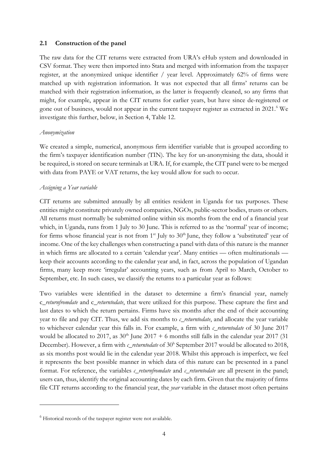#### **2.1 Construction of the panel**

The raw data for the CIT returns were extracted from URA's eHub system and downloaded in CSV format. They were then imported into Stata and merged with information from the taxpayer register, at the anonymized unique identifier / year level. Approximately 62% of firms were matched up with registration information. It was not expected that all firms' returns can be matched with their registration information, as the latter is frequently cleaned, so any firms that might, for example, appear in the CIT returns for earlier years, but have since de-registered or gone out of business, would not appear in the current taxpayer register as extracted in 2021.<sup>[6](#page-5-0)</sup> We investigate this further, below, in Section 4, Table 12.

#### *Anonymization*

We created a simple, numerical, anonymous firm identifier variable that is grouped according to the firm's taxpayer identification number (TIN). The key for un-anonymising the data, should it be required, is stored on secure terminals at URA. If, for example, the CIT panel were to be merged with data from PAYE or VAT returns, the key would allow for such to occur.

#### *Assigning a Year variable*

CIT returns are submitted annually by all entities resident in Uganda for tax purposes. These entities might constitute privately owned companies, NGOs, public-sector bodies, trusts or others. All returns must normally be submitted online within six months from the end of a financial year which, in Uganda, runs from 1 July to 30 June. This is referred to as the 'normal' year of income; for firms whose financial year is not from  $1<sup>st</sup>$  July to  $30<sup>th</sup>$  June, they follow a 'substituted' year of income. One of the key challenges when constructing a panel with data of this nature is the manner in which firms are allocated to a certain 'calendar year'. Many entities — often multinationals keep their accounts according to the calendar year and, in fact, across the population of Ugandan firms, many keep more 'irregular' accounting years, such as from April to March, October to September, etc. In such cases, we classify the returns to a particular year as follows:

Two variables were identified in the dataset to determine a firm's financial year, namely c\_*returnfromdate* and c\_*returntodate*, that were utilized for this purpose. These capture the first and last dates to which the return pertains. Firms have six months after the end of their accounting year to file and pay CIT. Thus, we add six months to *c\_returntodate*, and allocate the year variable to whichever calendar year this falls in. For example, a firm with *c\_returntodate* of 30 June 2017 would be allocated to 2017, as  $30<sup>th</sup>$  June 2017 + 6 months still falls in the calendar year 2017 (31) December). However, a firm with *c\_returntodate* of 30<sup>h</sup> September 2017 would be allocated to 2018, as six months post would lie in the calendar year 2018. Whilst this approach is imperfect, we feel it represents the best possible manner in which data of this nature can be presented in a panel format. For reference, the variables *c\_returnfromdate* and *c\_returntodate* are all present in the panel; users can, thus, identify the original accounting dates by each firm. Given that the majority of firms file CIT returns according to the financial year, the *year* variable in the dataset most often pertains

<span id="page-5-0"></span><sup>6</sup> Historical records of the taxpayer register were not available.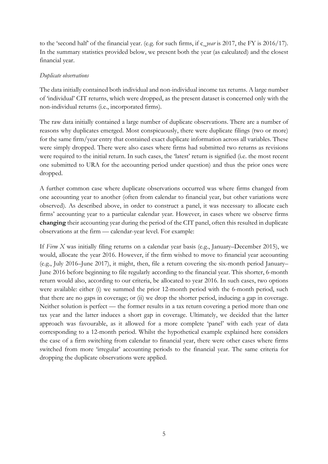to the 'second half' of the financial year. (e.g. for such firms, if c\_*year* is 2017, the FY is 2016/17). In the summary statistics provided below, we present both the year (as calculated) and the closest financial year.

## *Duplicate observations*

The data initially contained both individual and non-individual income tax returns. A large number of 'individual' CIT returns, which were dropped, as the present dataset is concerned only with the non-individual returns (i.e., incorporated firms).

The raw data initially contained a large number of duplicate observations. There are a number of reasons why duplicates emerged. Most conspicuously, there were duplicate filings (two or more) for the same firm/year entry that contained exact duplicate information across all variables. These were simply dropped. There were also cases where firms had submitted two returns as revisions were required to the initial return. In such cases, the 'latest' return is signified (i.e. the most recent one submitted to URA for the accounting period under question) and thus the prior ones were dropped.

A further common case where duplicate observations occurred was where firms changed from one accounting year to another (often from calendar to financial year, but other variations were observed). As described above, in order to construct a panel, it was necessary to allocate each firms' accounting year to a particular calendar year. However, in cases where we observe firms **changing** their accounting year during the period of the CIT panel, often this resulted in duplicate observations at the firm — calendar-year level. For example:

If *Firm X* was initially filing returns on a calendar year basis (e.g., January–December 2015), we would, allocate the year 2016. However, if the firm wished to move to financial year accounting (e.g., July 2016–June 2017), it might, then, file a return covering the six-month period January– June 2016 before beginning to file regularly according to the financial year. This shorter, 6-month return would also, according to our criteria, be allocated to year 2016. In such cases, two options were available: either (i) we summed the prior 12-month period with the 6-month period, such that there are no gaps in coverage; or (ii) we drop the shorter period, inducing a gap in coverage. Neither solution is perfect — the former results in a tax return covering a period more than one tax year and the latter induces a short gap in coverage. Ultimately, we decided that the latter approach was favourable, as it allowed for a more complete 'panel' with each year of data corresponding to a 12-month period. Whilst the hypothetical example explained here considers the case of a firm switching from calendar to financial year, there were other cases where firms switched from more 'irregular' accounting periods to the financial year. The same criteria for dropping the duplicate observations were applied.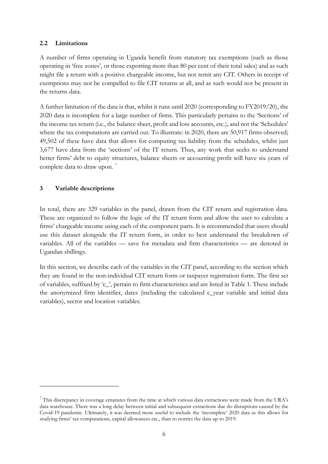## **2.2 Limitations**

A number of firms operating in Uganda benefit from statutory tax exemptions (such as those operating in 'free zones', or those exporting more than 80 per cent of their total sales) and as such might file a return with a positive chargeable income, but not remit any CIT. Others in receipt of exemptions may not be compelled to file CIT returns at all, and as such would not be present in the returns data.

A further limitation of the data is that, whilst it runs until 2020 (corresponding to FY2019/20), the 2020 data is incomplete for a large number of firms. This particularly pertains to the 'Sections' of the income tax return (i.e., the balance sheet, profit and loss accounts, etc.), and not the 'Schedules' where the tax computations are carried out. To illustrate: in 2020, there are 50,917 firms observed; 49,502 of these have data that allows for computing tax liability from the schedules, whilst just 3,677 have data from the 'sections' of the IT return. Thus, any work that seeks to understand better firms' debt to equity structures, balance sheets or accounting profit will have six years of complete data to draw upon. [7](#page-7-0)

## **3 Variable descriptions**

In total, there are 329 variables in the panel, drawn from the CIT return and registration data. These are organized to follow the logic of the IT return form and allow the user to calculate a firms' chargeable income using each of the component parts. It is recommended that users should use this dataset alongside the IT return form, in order to best understand the breakdown of variables. All of the variables — save for metadata and firm characteristics — are denoted in Ugandan shillings.

In this section, we describe each of the variables in the CIT panel, according to the section which they are found in the non-individual CIT return form or taxpayer registration form. The first set of variables, suffixed by 'c\_', pertain to firm characteristics and are listed in Table 1. These include the anonymized firm identifier, dates (including the calculated c\_year variable and initial data variables), sector and location variables.

<span id="page-7-0"></span><sup>7</sup> This discrepancy in coverage emanates from the time at which various data extractions were made from the URA's data warehouse. There was a long delay between initial and subsequent extractions due do disruptions caused by the Covid-19 pandemic. Ultimately, it was deemed more useful to include the 'incomplete' 2020 data as this allows for studying firms' tax computations, capital allowances etc., than to restrict the data up to 2019.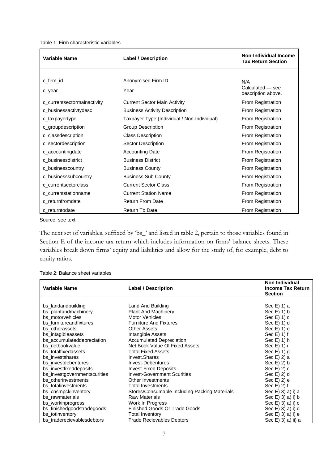Table 1: Firm characteristic variables

| <b>Variable Name</b>        | <b>Label / Description</b>                  | Non-Individual Income<br><b>Tax Return Section</b> |
|-----------------------------|---------------------------------------------|----------------------------------------------------|
|                             |                                             |                                                    |
| c_firm_id                   | Anonymised Firm ID                          | N/A                                                |
| c_year                      | Year                                        | Calculated - see<br>description above.             |
| c_currentsectormainactivity | <b>Current Sector Main Activity</b>         | From Registration                                  |
| c_businessactivtydesc       | <b>Business Activity Description</b>        | From Registration                                  |
| c_taxpayertype              | Taxpayer Type (Individual / Non-Individual) | From Registration                                  |
| c_groupdescription          | <b>Group Description</b>                    | From Registration                                  |
| c_classdescription          | <b>Class Description</b>                    | From Registration                                  |
| c_sectordescription         | Sector Description                          | From Registration                                  |
| c_accountingdate            | <b>Accounting Date</b>                      | From Registration                                  |
| c_businessdistrict          | <b>Business District</b>                    | From Registration                                  |
| c_businesscountry           | <b>Business County</b>                      | From Registration                                  |
| c_businesssubcountry        | <b>Business Sub County</b>                  | From Registration                                  |
| c_currentsectorclass        | <b>Current Sector Class</b>                 | From Registration                                  |
| c_currentstationname        | <b>Current Station Name</b>                 | From Registration                                  |
| c_returnfromdate            | <b>Return From Date</b>                     | From Registration                                  |
| c returntodate              | <b>Return To Date</b>                       | From Registration                                  |

Source: see text.

The next set of variables, suffixed by 'bs\_' and listed in table 2, pertain to those variables found in Section E of the income tax return which includes information on firms' balance sheets. These variables break down firms' equity and liabilities and allow for the study of, for example, debt to equity ratios.

| Variable Name                | <b>Label / Description</b>                    | Non Individual<br><b>Income Tax Return</b><br><b>Section</b> |
|------------------------------|-----------------------------------------------|--------------------------------------------------------------|
| bs_landandbuilding           | Land And Building                             | Sec E) 1) a                                                  |
| bs_plantandmachinery         | <b>Plant And Machinery</b>                    | $Sec E(1)$ b                                                 |
| bs motorvehicles             | <b>Motor Vehicles</b>                         | Sec E(1) 1                                                   |
| bs_furnitureandfixtures      | <b>Furniture And Fixtures</b>                 | $Sec E(1)$ d                                                 |
| bs otherassets               | <b>Other Assets</b>                           | Sec $E$ ) 1) $e$                                             |
| bs_intagibleassets           | Intangible Assets                             | $Sec E(1)$ 1) f                                              |
| bs_accumulateddepreciation   | <b>Accumulated Depreciation</b>               | Sec $E$ ) 1) h                                               |
| bs netbookvalue              | Net Book Value Of Fixed Assets                | Sec $E$ ) 1) i                                               |
| bs totalfixedassets          | <b>Total Fixed Assets</b>                     | Sec $E$ ) 1) g                                               |
| bs investshares              | Invest.Shares                                 | Sec E) 2) a                                                  |
| bs investdebentures          | <b>Invest-Debentures</b>                      | Sec $E$ ) 2) b                                               |
| bs investfixeddeposits       | <b>Invest-Fixed Deposits</b>                  | Sec $E$ ) 2) c                                               |
| bs_investgovernmentscurities | <b>Invest-Government Scurities</b>            | Sec E(2) d                                                   |
| bs_otherinvestments          | Other Investments                             | Sec $E$ ) 2) e                                               |
| bs_totalinvestments          | <b>Total Investments</b>                      | Sec $E( 2)$ f                                                |
| bs_cnsmpckinventory          | Stores/Consumable Including Packing Materials | Sec E) 3) a) i) a                                            |
| bs_rawmaterials              | <b>Raw Materials</b>                          | Sec E) 3) a) i) b                                            |
| bs_workinprogress            | Work In Progress                              | Sec $E$ ) 3) a) i) c                                         |
| bs_finishedgoodstradegoods   | <b>Finished Goods Or Trade Goods</b>          | Sec E) 3) a) i) d                                            |
| bs totinventory              | <b>Total Inventory</b>                        | Sec E) 3) a) i) e                                            |
| bs_traderecievablesdebtors   | <b>Trade Recievables Debtors</b>              | Sec E) 3) a) ii) a                                           |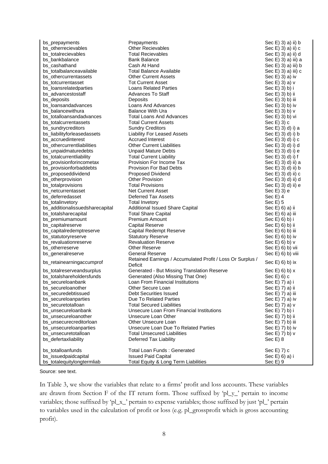| bs prepayments                  | Prepayments                                                | Sec E) 3) a) ii) b        |
|---------------------------------|------------------------------------------------------------|---------------------------|
| bs_otherrecievables             | <b>Other Recievables</b>                                   | Sec E) 3) a) ii) c        |
| bs totalrecievables             | <b>Total Recievables</b>                                   | Sec E) 3) a) ii) d        |
| bs_bankbalance                  | <b>Bank Balance</b>                                        | Sec E) 3) a) iii) a       |
| bs_cashathand                   | Cash At Hand                                               | Sec $E$ ) 3) a) iii) b    |
| bs_totalbalanceavailable        | <b>Total Balance Available</b>                             | Sec E) 3) a) iii) c       |
| bs othercurrentassets           | <b>Other Current Assets</b>                                | Sec $E$ ) 3) a) iv        |
| bs_totcurrentasset              | <b>Tot Current Asset</b>                                   | Sec E) 3) a) v            |
| bs_loansrelatedparties          | <b>Loans Related Parties</b>                               | Sec E) 3) b) i            |
| bs_advancestostaff              | <b>Advances To Staff</b>                                   | $Sec E(3) b$ ii           |
| bs_deposits                     | Deposits                                                   | Sec E) 3) b) iii          |
| bs_loansandadvances             | Loans And Advances                                         | Sec E) 3) b) iv           |
| bs_balancewithura               | <b>Balance With Ura</b>                                    | Sec $E$ ) 3) b) $v$       |
| bs_totalloansandadvances        | Total Loans And Advances                                   | Sec E) 3) b) vi           |
| bs_totalcurrentassets           | <b>Total Current Assets</b>                                | Sec E) 3) c               |
| bs_sundrycreditors              | <b>Sundry Creditors</b>                                    | Sec E) 3) d) i) a         |
| bs_liabilityforleasedassets     | <b>Liability For Leased Assets</b>                         | Sec $E$ ) 3) d) i) b      |
| bs_accruedinterest              | <b>Accrued Interest</b>                                    | $\text{Sec E}$ 3) d) i) c |
| bs_othercurrentliabilities      | <b>Other Current Liabilities</b>                           | Sec E) 3) d) i) d         |
| bs_unpaidmaturedebts            | <b>Unpaid Mature Debts</b>                                 | Sec E) 3) d) i) e         |
| bs_totalcurrentliability        | <b>Total Current Liability</b>                             | Sec E) 3) d) i) f         |
| bs_provisionforincometax        | Provision For Income Tax                                   | Sec E) 3) d) ii) a        |
| bs_provisionforbaddebts         | <b>Provision For Bad Debts</b>                             | Sec E) 3) d) ii) b        |
| bs_proposeddividend             | <b>Proposed Dividend</b>                                   | Sec E) 3) d) ii) c        |
| bs_otherprovision               | <b>Other Provision</b>                                     | Sec E) 3) d) ii) d        |
| bs_totalprovisions              | <b>Total Provisions</b>                                    | Sec E) 3) d) ii) e        |
| bs_netcurrentasset              | <b>Net Current Asset</b>                                   | Sec E) 3) e               |
| bs_deferredasset                | <b>Deferred Tax Assets</b>                                 | Sec $E$ ) 4               |
| bs_totalinvetory                | <b>Total Invetory</b>                                      | Sec $E$ ) 5               |
| bs_additionalissuedsharecapital | Additional Issued Share Capital                            | Sec E) 6) a) ii           |
| bs_totalsharecapital            | <b>Total Share Capital</b>                                 | Sec E) 6) a) iii          |
| bs_premiumamount                | Premium Amount                                             | $Sec E(6)$ b) i           |
| bs_capitalreserve               | <b>Capital Reserve</b>                                     | Sec E) 6) b) ii           |
| bs_capitalredemptreserve        | Capital Redempt Reserve                                    | Sec E) 6) b) iii          |
| bs_statutoryreserve             | <b>Statutory Reserve</b>                                   | $Sec E(6)$ b) iv          |
| bs_revaluationreserve           | <b>Revaluation Reserve</b>                                 | $\text{Sec E}$ 6) b) v    |
| bs_otherreserve                 | <b>Other Reserve</b>                                       | Sec E) 6) b) vii          |
| bs_generalreserve               | <b>General Reserve</b>                                     | Sec E) 6) b) viii         |
|                                 | Retained Earnings / Accumulated Profit / Loss Or Surplus / | Sec E) 6) b) ix           |
| bs_retainearningaccumprof       | Deficit                                                    |                           |
| bs_totalreserveandsurplus       | Generated - But Missing Translation Reserve                | Sec $E$ ) 6) b) $x$       |
| bs_totalshareholdersfunds       | Generated (Also Missing That One)                          | Sec E(6) c                |
| bs_secureloanbank               | <b>Loan From Financial Institutions</b>                    | Sec E) 7) a) i            |
| bs_secureloanother              | Other Secure Loan                                          | Sec E) 7) a) ii           |
| bs_securedebtissued             | Debt Securities Issued                                     | Sec E) 7) a) iii          |
| bs_secureloanparties            | Due To Related Parties                                     | Sec E) 7) a) iv           |
| bs_securetotalloan              | <b>Total Secured Liabilities</b>                           | Sec E) 7) a) v            |
| bs_unsecureloanbank             | Unsecure Loan From Financial Institutions                  | Sec E) 7) b) i            |
| bs_unsecureloanother            | Unsecure Loan Other                                        | Sec E) 7) b) ii           |
| bs_unsecurecreditorloan         | Other Unsecure Loan                                        | Sec E) 7) b) iii          |
| bs_unsecureloanparties          | Unsecure Loan Due To Related Parties                       | Sec E) 7) b) iv           |
| bs_unsecuretotalloan            | <b>Total Unsecured Liabilities</b>                         | Sec E) 7) b) v            |
| bs_defertaxliability            | Deferred Tax Liability                                     | Sec E) 8                  |
|                                 |                                                            |                           |
| bs_totalloanfunds               | <b>Total Loan Funds: Generated</b>                         | Sec E) 7) c               |
| bs_issuedpaidcapital            | <b>Issued Paid Capital</b>                                 | Sec E) 6) a) i            |
| bs_totalequitylongtermliab      | Total Equity & Long Term Liabilities                       | Sec E) 9                  |

In Table 3, we show the variables that relate to a firms' profit and loss accounts. These variables are drawn from Section F of the IT return form. Those suffixed by 'pl\_y\_' pertain to income variables; those suffixed by 'pl\_x\_' pertain to expense variables; those suffixed by just 'pl\_' pertain to variables used in the calculation of profit or loss (e.g. pl\_grossprofit which is gross accounting profit).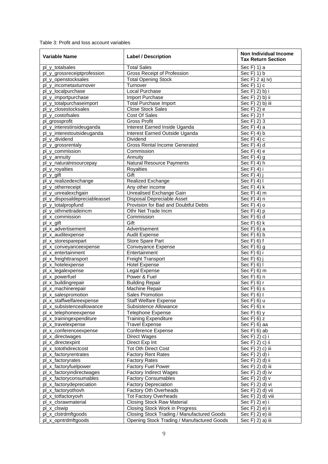Table 3: Profit and loss account variables

| Variable Name                                         | <b>Label / Description</b>                       | Non Individual Income<br><b>Tax Return Section</b> |
|-------------------------------------------------------|--------------------------------------------------|----------------------------------------------------|
| pl_y_totalsales                                       | <b>Total Sales</b>                               | Sec F) 1) a                                        |
| pl_y_grossreceiptprofession                           | <b>Gross Receipt of Profession</b>               | Sec F) 1) b                                        |
| pl_y_openstocksales                                   | <b>Total Opening Stock</b>                       | Sec $F$ ) 2 a) iv)                                 |
| pl_y_incometaxturnover                                | Turnover                                         | $\overline{\text{Sec}}$ F) 1) c                    |
| pl_y_localpurchase                                    | Local Purchase                                   | Sec F) 2) b) i                                     |
| pl_y_importpurchase                                   | Import Purchase                                  | Sec F) 2) b) ii                                    |
| pl_y_totalpurchaseimport                              | Total Purchase Import                            | Sec F) 2) b) iii                                   |
| pl_y_closestocksales                                  | <b>Close Stock Sales</b>                         | Sec F) 2) e                                        |
| pl_y_costofsales                                      | Cost Of Sales                                    | Sec F) 2) f                                        |
| pl_grossprofit                                        | <b>Gross Profit</b>                              | Sec F) 2) 3                                        |
| pl_y_interestinsideuganda                             | Interest Earned Inside Uganda                    | Sec F) 4) a                                        |
| pl_y_interestoutsideuganda                            | Interest Earned Outside Uganda                   | Sec $F$ ) 4) b                                     |
| pl_y_dividend                                         | Dividend                                         | Sec $F$ ) 4) c                                     |
| pl_y_grossrentaly                                     | <b>Gross Rental Income Generated</b>             | Sec F) 4) d                                        |
| pl_y_commission                                       | Commission                                       | Sec F) 4) e                                        |
| pl_y_annuity                                          | Annuity                                          | Sec $F($ ) 4) g                                    |
| pl_y_naturalresourcepay                               | Natural Resource Payments                        | $\overline{\text{Sec}}$ F) 4) h                    |
| pl_y_royalties                                        | <b>Royalties</b>                                 | Sec F) 4) i                                        |
| pl_y_gift                                             | Gift                                             | Sec F) 4) i                                        |
| pl_y_realizedexchange                                 | Realized Exchange                                | Sec F) 4) I                                        |
| pl_y_otherreceipt                                     | Any other income                                 | Sec F) 4) k                                        |
| pl_y_unrealexchgain                                   | Unrealised Exchange Gain                         | Sec $F($ 4 $)$ m                                   |
| pl_y_disposaldepreciableasset                         | Disposal Depreciable Asset                       | Sec F) 4) n                                        |
| pl_y_totalpropfund                                    | Provision for Bad and Doubtful Debts             | Sec $F$ ) 4) o                                     |
| pl_y_othrnettradeincm                                 | Othr Net Trade Incm                              | Sec F) 4) p                                        |
| pl_x_commission                                       | Commission                                       | Sec F) 6) d                                        |
| pl_x_gift                                             | Gift                                             | Sec $F(6)$ k                                       |
| pl_x_advertisement                                    | Advertisement                                    | Sec $F(6)$ a                                       |
| pl_x_auditexpense                                     | <b>Audit Expense</b>                             | Sec $F(6)$ b                                       |
| pl_x_storesparepart                                   | Store Spare Part                                 | Sec $F$ ) 6) $f$                                   |
| pl_x_conveyanceexpense                                | Conveyance Expense                               | Sec $F(6)$ g                                       |
| pl_x_entertainment                                    | Entertainment                                    | Sec $F(6)$ i                                       |
| pl_x_freighttransport                                 | Freight Transport                                | Sec $F(6)$ j                                       |
| pl_x_hotelexpense                                     | <b>Hotel Expense</b>                             | Sec F) 6) I                                        |
| pl_x_legalexpense                                     | Legal Expense                                    | Sec $F(6)$ m                                       |
| pl_x_powerfuel                                        | Power & Fuel                                     | Sec F) 6) n                                        |
| pl_x_buildingrepair                                   | <b>Building Repair</b>                           | Sec F) 6) r                                        |
| pl_x_machinerepair                                    | Machine Repair                                   | Sec $F(6)$ s                                       |
| pl x salespromotion                                   | <b>Sales Promotion</b>                           | $Sec F(6)$ f                                       |
| pl_x_staffwelfareexpense<br>pl_x_subsistenceallowance | <b>Staff Welfare Expense</b>                     | Sec F) 6) u                                        |
|                                                       | Subsistence Allowance                            | Sec $F(6)$ x                                       |
| pl_x_telephoneexpense<br>pl_x_trainingexpenditure     | Telephone Expense<br><b>Training Expenditure</b> | Sec $F(6)$ y<br>Sec F) $6$ ) z                     |
| pl_x_travelexpense                                    | <b>Travel Expense</b>                            | $\overline{S}$ ec F) 6) aa                         |
| pl_x_conferenceexpense                                | <b>Conference Expense</b>                        | Sec $F$ ) 6) ab                                    |
| pl_x_directwages                                      | <b>Direct Wages</b>                              | Sec F) 2) c) i                                     |
| pl_x_directexpint                                     | Direct Exp Int                                   | Sec F) 2) c) ii                                    |
| pl_x_totothdirectcost                                 | <b>Tot Oth Direct Cost</b>                       | Sec F) 2) c) iii                                   |
| pl_x_factoryrentrates                                 | <b>Factory Rent Rates</b>                        | Sec F) 2) d) i                                     |
| pl_x_factoryrates                                     | <b>Factory Rates</b>                             | $\overline{\text{Sec}}$ F) 2) d) ii                |
| pl_x_factoryfuelpower                                 | <b>Factory Fuel Power</b>                        | Sec F) 2) d) iii                                   |
| pl_x_factoryindirectwages                             | <b>Factory Indirect Wages</b>                    | Sec F) 2) d) iv                                    |
| pl_x_factoryconsumables                               | <b>Factory Consumables</b>                       | Sec F) 2) d) v                                     |
| pl_x_factorydepreciation                              | <b>Factory Depreciation</b>                      | Sec F) 2) d) vi                                    |
| pl_x_factoryothovh                                    | Factory Oth Overheads                            | $\overline{\text{Sec}}$ F) 2) d) vii               |
| pl_x_totfactoryovh                                    | <b>Tot Factory Overheads</b>                     | Sec F) 2) d) viii                                  |
| pl_x_clsrawmaterial                                   | <b>Closing Stock Raw Material</b>                | Sec F) 2) e) i                                     |
| pl_x_clswip                                           | Closing Stock Work in Progress                   | Sec F) 2) e) ii                                    |
| pl_x_clstrdmftgoods                                   | Closing Stock Trading / Manufactured Goods       | Sec F) 2) e) iii                                   |
| pl_x_opntrdmftgoods                                   | Opening Stock Trading / Manufactured Goods       | Sec F) 2) a) iii                                   |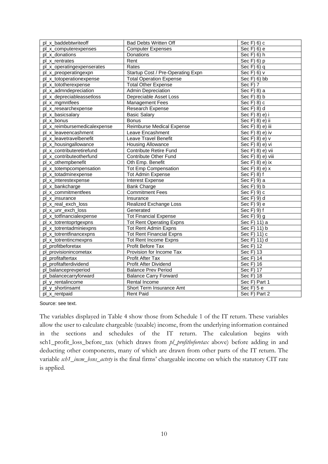| pl_x_baddebtwriteoff         | <b>Bad Debts Written Off</b>      | Sec $F$ ) 6) c                      |
|------------------------------|-----------------------------------|-------------------------------------|
| pl_x_computerexpenses        | <b>Computer Expenses</b>          | Sec $F(6)$ e                        |
| pl_x_donations               | Donations                         | Sec F) 6) h                         |
| pl x rentrates               | Rent                              | Sec $F(6)$ p                        |
| pl_x_operatingexpenserates   | Rates                             | Sec $F$ ) 6) q                      |
| pl_x_preoperatingexpn        | Startup Cost / Pre-Operating Expn | Sec $F$ ) 6) $v$                    |
| pl_x_totoperationexpense     | <b>Total Operation Expense</b>    | $Sec F(6)$ bb                       |
| pl_x_tototherexpense         | <b>Total Other Expense</b>        | $\overline{\text{Sec}}$ F) 7        |
| pl_x_admndepreciation        | <b>Admin Depreciation</b>         | Sec F) 8) a                         |
| pl_x_depreciableassetloss    | Depreciable Asset Loss            | Sec $F(8)$ b                        |
| pl_x_mgmntfees               | <b>Management Fees</b>            | Sec $F(8)$ c                        |
| pl_x_researchexpense         | Research Expense                  | Sec F) 8) d                         |
| pl_x_basicsalary             | <b>Basic Salary</b>               | $\overline{\text{Sec}}$ F) 8) e) i  |
| pl x bonus                   | <b>Bonus</b>                      | Sec F) 8) e) ii                     |
| pl_x_reimbursemedicalexpense | Reimburse Medical Expense         | Sec F) 8) e) iii                    |
| pl_x_leaveencashment         | Leave Encashment                  | $\overline{\text{Sec}}$ F) 8) e) iv |
| pl_x_leavetravelbenefit      | Leave Travel Benefit              | Sec F) 8) e) v                      |
| pl_x_housingallowance        | <b>Housing Allowance</b>          | Sec F) 8) e) vi                     |
| pl_x_contributeretirefund    | <b>Contribute Retire Fund</b>     | Sec F) 8) e) vii                    |
| pl_x_contributeotherfund     | <b>Contribute Other Fund</b>      | Sec F) 8) e) viii                   |
| pl_x_othempbenefit           | Oth Emp. Benefit                  | Sec F) 8) e) ix                     |
| pl_x_totempcompensation      | <b>Tot Emp Compensation</b>       | Sec $F(8)$ e) x                     |
| pl_x_totadminexpense         | <b>Tot Admin Expense</b>          | Sec F) 8) f                         |
| pl_x_interestexpense         | <b>Interest Expense</b>           | Sec F) 9) a                         |
| pl_x_bankcharge              | <b>Bank Charge</b>                | Sec F) 9) b                         |
| pl x commitmentfees          | <b>Commitment Fees</b>            | Sec F) 9) c                         |
| pl_x_insurance               | Insurance                         | $\overline{\text{Sec}}$ F) 9) d     |
| pl_x_real_exch_loss          | Realized Exchange Loss            | Sec F) 9) e                         |
| pl x unr exch loss           | Generated                         | Sec F) 9) f                         |
| pl_x_totfinancialexpense     | <b>Tot Financial Expense</b>      | Sec $F$ ) 9) g                      |
| pl_x_totrentoprtgexpns       | <b>Tot Rent Operating Expns</b>   | Sec F) 11) a                        |
| pl_x_totrentadminiexpns      | <b>Tot Rent Admin Expns</b>       | Sec F) 11) b                        |
| pl_x_totrentfinancexpns      | <b>Tot Rent Financial Expns</b>   | Sec F) $11$ ) c                     |
| pl_x_totrentincmexpns        | <b>Tot Rent Income Expns</b>      | Sec F) 11) d                        |
| pl_profitbeforetax           | Profit Before Tax                 | Sec F) $\overline{12}$              |
| pl_provisionincometax        | Provision for Income Tax          | Sec F) 13                           |
| pl_profitaftertax            | Profit After Tax                  | Sec F) 14                           |
| pl_profitafterdividend       | Profit After Dividend             | Sec F) 16                           |
| pl_balanceprevperiod         | <b>Balance Prev Period</b>        | Sec $\overline{F}$ ) 17             |
| pl_balancecarryforward       | <b>Balance Carry Forward</b>      | Sec F) 18                           |
| pl_y_rentalincome            | Rental Income                     | Sec F) Part 1                       |
| pl_y_shortinsamt             | Short Term Insurance Amt          | Sec $F$ ) 5 e                       |
| pl x rentpaid                | <b>Rent Paid</b>                  | Sec F) Part 2                       |

The variables displayed in Table 4 show those from Schedule 1 of the IT return. These variables allow the user to calculate chargeable (taxable) income, from the underlying information contained in the sections and schedules of the IT return. The calculation begins with sch1\_profit\_loss\_before\_tax (which draws from *pl\_profitbeforetax* above) before adding in and deducting other components, many of which are drawn from other parts of the IT return. The variable *sch1\_incm\_bsns\_actvty* is the final firms' chargeable income on which the statutory CIT rate is applied.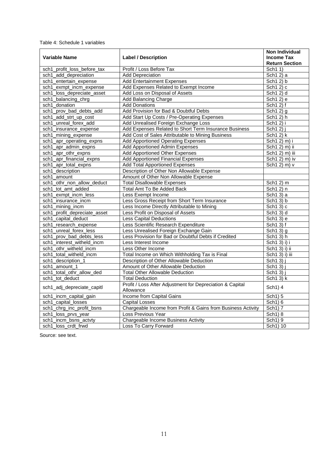|  | Table 4: Schedule 1 variables |  |
|--|-------------------------------|--|
|--|-------------------------------|--|

|                              |                                                                        | <b>Non Individual</b>         |
|------------------------------|------------------------------------------------------------------------|-------------------------------|
| <b>Variable Name</b>         | <b>Label / Description</b>                                             | <b>Income Tax</b>             |
|                              |                                                                        | <b>Return Section</b>         |
| sch1_profit_loss_before_tax  | Profit / Loss Before Tax                                               | Sch1 1)                       |
| sch1_add_depreciation        | <b>Add Depreciation</b>                                                | Sch1 2) a                     |
| sch1_entertain_expense       | <b>Add Entertainment Expenses</b>                                      | Sch1 2) b                     |
| sch1_exmpt_incm_expense      | Add Expenses Related to Exempt Income                                  | Sch $12$ ) c                  |
| sch1_loss_depreciate_asset   | Add Loss on Disposal of Assets                                         | Sch1 2) d                     |
| sch1_balancing_chrg          | Add Balancing Charge                                                   | Sch1 2) e                     |
| sch1_donation                | <b>Add Donations</b>                                                   | $\overline{\text{Sch1}}$ 2) f |
| sch1_prov_bad_debts_add      | Add Provision for Bad & Doubtful Debts                                 | Sch $12$ ) g                  |
| sch1_add_strt_up_cost        | Add Start Up Costs / Pre-Operating Expenses                            | Sch1 2) h                     |
| sch1_unreal_forex_add        | Add Unrealised Foreign Exchange Loss                                   | Sch1 2) i                     |
| sch1_insurance_expense       | Add Expenses Related to Short Term Insurance Business                  | Sch1 2) j                     |
| sch1_mining_expense          | Add Cost of Sales Attributable to Mining Business                      | Sch12) k                      |
| sch1_apr_operating_expns     | Add Apportioned Operating Expenses                                     | Sch1 2) m) i                  |
| sch1_apr_admin_expns         | Add Apportioned Admin Expenses                                         | Sch1 2) m) ii                 |
| sch1_apr_othr_expns          | <b>Add Apportioned Other Expenses</b>                                  | Sch1 2) m) iii                |
| sch1_apr_financial_expns     | <b>Add Apportioned Financial Expenses</b>                              | Sch1 2) m) iv                 |
| sch1_apr_total_expns         | <b>Add Total Apportioned Expenses</b>                                  | Sch1 2) m) v                  |
| sch1_description             | Description of Other Non Allowable Expense                             |                               |
| sch1_amount                  | Amount of Other Non Allowable Expense                                  |                               |
| sch1_othr_non_allow_deduct   | <b>Total Disallowable Expenses</b>                                     | Sch1 2) m                     |
| sch1_tot_amt_added           | <b>Total Amt To Be Added Back</b>                                      | Sch1 2) n                     |
| sch1_exmpt_incm_less         | Less Exempt Income                                                     | Sch1 3) a                     |
| sch1_insurance_incm          | Less Gross Receipt from Short Term Insurance                           | Sch1 3) b                     |
| sch1_mining_incm             | Less Income Directly Attributable to Mining                            | Sch1 3) c                     |
| sch1_profit_depreciate_asset | Less Profit on Disposal of Assets                                      | Sch1 3) d                     |
| sch1_capital_deduct          | <b>Less Capital Deductions</b>                                         | Sch1 3) e                     |
| sch1_research_expense        | Less Scientific Research Expenditure                                   | Sch1 3) f                     |
| sch1_unreal_forex_less       | Less Unrealised Foreign Exchange Gain                                  | Sch1 3) g                     |
| sch1_prov_bad_debts_less     | Less Provision for Bad or Doubtful Debts if Credited                   | Sch13)h                       |
| sch1_interest_witheld_incm   | Less Interest Income                                                   | Sch1 3) i) i                  |
| sch1 othr_witheld_incm       | Less Other Income                                                      | Sch1 3) i) ii                 |
| sch1 total witheld incm      | Total Income on Which Withholding Tax is Final                         | Sch1 3) i) iii                |
| sch1_description_1           | Description of Other Allowable Deduction                               | Sch1 3)                       |
| sch1_amount_1                | Amount of Other Allowable Deduction                                    | Sch1 3)                       |
| sch1_total_othr_allow_ded    | <b>Total Other Allowable Deduction</b>                                 | Sch1 3) j                     |
| sch1_tot_deduct              | <b>Total Deduction</b>                                                 | Sch1 3) k                     |
| sch1_adj_depreciate_capitl   | Profit / Loss After Adjustment for Depreciation & Capital<br>Allowance | Sch1) 4                       |
| sch1_incm_capital_gain       | Income from Capital Gains                                              | Sch1) 5                       |
| sch1_capital_losses          | <b>Capital Losses</b>                                                  | Sch1) 6                       |
| sch1_chrg_inc_profit_bsns    | Chargeable Income from Profit & Gains from Business Activity           | Sch1) 7                       |
| sch1_loss_prvs_year          | Loss Previous Year                                                     | Sch1) 8                       |
| sch1_incm_bsns_actvty        | Chargeable Income Business Activity                                    | Sch1) 9                       |
| sch1_loss_crdt_frwd          | Loss To Carry Forward                                                  | Sch1) 10                      |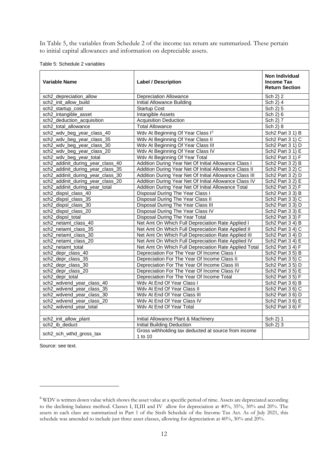In Table 5, the variables from Schedule 2 of the income tax return are summarized. These pertain to initial capital allowances and information on depreciable assets.

| Table 5: Schedule 2 variables |
|-------------------------------|
|                               |

| <b>Variable Name</b>              | <b>Label / Description</b>                                      | <b>Non Individual</b><br><b>Income Tax</b><br><b>Return Section</b> |
|-----------------------------------|-----------------------------------------------------------------|---------------------------------------------------------------------|
| sch2_depreciation_allow           | <b>Depreciation Allowance</b>                                   | Sch 2) 2                                                            |
| sch2 init allow build             | <b>Initial Allowance Building</b>                               | Sch $2)$ 4                                                          |
| sch2_startup_cost                 | <b>Startup Cost</b>                                             | Sch 2) 5                                                            |
| sch2_intangible_asset             | <b>Intangible Assets</b>                                        | Sch 2) 6                                                            |
| sch2_deduction_acquisition        | <b>Acquisition Deduction</b>                                    | Sch 2) 7                                                            |
| sch2_total_allowance              | <b>Total Allowance</b>                                          | Sch 2) 8                                                            |
| sch2_wdv_beg_year_class_40        | Wdv At Beginning Of Year Class I <sup>8</sup>                   | Sch2 Part 3 1) B                                                    |
| sch2_wdv_beg_year_class_35        | Wdv At Beginning Of Year Class II                               | Sch2 Part 3 1) C                                                    |
| sch2_wdv_beg_year_class_30        | Wdv At Beginning Of Year Class III                              | Sch2 Part 3 1) D                                                    |
| sch2_wdv_beg_year_class_20        | Wdv At Beginning Of Year Class IV                               | Sch2 Part 3 1) E                                                    |
| sch2_wdv_beg_year_total           | Wdv At Beginning Of Year Total                                  | Sch2 Part 3 1) F                                                    |
| sch2_addinit_during_year_class_40 | Addition During Year Net Of Initial Allowance Class I           | Sch2 Part 3 2) B                                                    |
| sch2_addinit_during_year_class_35 | Addition During Year Net Of Initial Allowance Class II          | Sch2 Part 3 2) C                                                    |
| sch2_addinit_during_year_class_30 | Addition During Year Net Of Initial Allowance Class III         | Sch2 Part 3 2) D                                                    |
| sch2_addinit_during_year_class_20 | Addition During Year Net Of Initial Allowance Class IV          | Sch2 Part 3 2) E                                                    |
| sch2_addinit_during_year_total    | Addition During Year Net Of Initial Allowance Total             | Sch2 Part 3 2) F                                                    |
| sch2_dispsl_class_40              | Disposal During The Year Class I                                | Sch2 Part 3 3) B                                                    |
| sch2_dispsl_class_35              | Disposal During The Year Class II                               | Sch2 Part 3 3) C                                                    |
| sch2 dispsl_class_30              | Disposal During The Year Class III                              | Sch2 Part 3 3) D                                                    |
| sch2_dispsl_class_20              | Disposal During The Year Class IV                               | Sch2 Part 3 3) E                                                    |
| sch2_dispsl_total                 | Disposal During The Year Total                                  | Sch2 Part 3 3) F                                                    |
| sch2_netamt_class_40              | Net Amt On Which Full Depreciation Rate Applied I               | Sch2 Part 3 4) B                                                    |
| sch2 netamt class 35              | Net Amt On Which Full Depreciation Rate Applied II              | Sch2 Part 3 4) C                                                    |
| sch2 netamt_class_30              | Net Amt On Which Full Depreciation Rate Applied III             | Sch <sub>2</sub> Part 3 4) D                                        |
| sch2_netamt_class_20              | Net Amt On Which Full Depreciation Rate Applied IV              | Sch2 Part 3 4) E                                                    |
| sch2_netamt_total                 | Net Amt On Which Full Depreciation Rate Applied Total           | Sch2 Part 3 4) F                                                    |
| sch2_depr_class_40                | Depreciation For The Year Of Income Class I                     | Sch2 Part 3 5) B                                                    |
| sch2 depr_class_35                | Depreciation For The Year Of Income Class II                    | Sch2 Part 3 5) C                                                    |
| sch2_depr_class_30                | Depreciation For The Year Of Income Class III                   | Sch2 Part 3 5) D                                                    |
| sch2_depr_class_20                | Depreciation For The Year Of Income Class IV                    | Sch2 Part 3 5) E                                                    |
| sch2_depr_total                   | Depreciation For The Year Of Income Total                       | Sch2 Part 3 5) F                                                    |
| sch2_wdvend_year_class_40         | Wdv At End Of Year Class I                                      | Sch2 Part 3 6) B                                                    |
| sch2_wdvend_year_class_35         | Wdv At End Of Year Class II                                     | Sch <sub>2</sub> Part 3 6) C                                        |
| sch2_wdvend_year_class_30         | Wdv At End Of Year Class III                                    | Sch <sub>2</sub> Part 3 6) D                                        |
| sch2_wdvend_year_class_20         | Wdv At End Of Year Class IV                                     | Sch2 Part 3 6) E                                                    |
| sch2_wdvend_year_total            | Wdv At End Of Year Total                                        | Sch2 Part 3 6) F                                                    |
| sch2_init_allow_plant             | Initial Allowance Plant & Machinery                             | Sch 2) 1                                                            |
| sch2_ib_deduct                    | Initial Building Deduction                                      | Sch 2) 3                                                            |
| sch2_sch_wthd_gross_tax           | Gross withholding tax deducted at source from income<br>1 to 10 |                                                                     |

Source: see text.

<span id="page-13-0"></span><sup>&</sup>lt;sup>8</sup> WDV is written down value which shows the asset value at a specific period of time. Assets are depreciated according to the declining balance method. Classes I, II,III and IV allow for depreciation at 40%, 35%, 30% and 20%. The assets in each class are summarized in Part 1 of the Sixth Schedule of the Income Tax Act. As of July 2021, this schedule was amended to include just three asset classes, allowing for depreciation at 40%, 30% and 20%.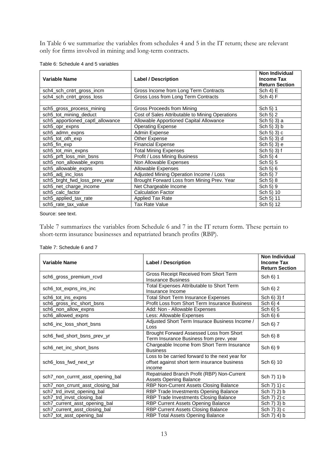In Table 6 we summarize the variables from schedules 4 and 5 in the IT return; these are relevant only for firms involved in mining and long-term contracts.

| <b>Variable Name</b>             | <b>Label / Description</b>                      | <b>Non Individual</b><br><b>Income Tax</b><br><b>Return Section</b> |
|----------------------------------|-------------------------------------------------|---------------------------------------------------------------------|
| sch4_sch_cntrt_gross_incm        | Gross Income from Long Term Contracts           | Sch $4$ ) E                                                         |
| sch4_sch_cntrt_gross_loss        | Gross Loss from Long Term Contracts             | Sch 4) F                                                            |
|                                  |                                                 |                                                                     |
| sch5_gross_process_mining        | Gross Proceeds from Mining                      | Sch 5) 1                                                            |
| sch5_tot_mining_deduct           | Cost of Sales Attributable to Mining Operations | Sch 5) 2                                                            |
| sch5_apportioned_captl_allowance | Allowable Apportioned Capital Allowance         | Sch 5) 3) a                                                         |
| sch5_opr_expns                   | <b>Operating Expense</b>                        | Sch 5) 3) b                                                         |
| sch5 admn expns                  | Admin Expense                                   | Sch 5) $3$ ) c                                                      |
| sch5_tot_oth_exp                 | Other Expense                                   | Sch 5) 3) d                                                         |
| sch5_fin_exp                     | <b>Financial Expense</b>                        | Sch 5) 3) e                                                         |
| sch5_tot_min_expns               | <b>Total Mining Expenses</b>                    | Sch 5) 3) f                                                         |
| sch5 prft loss min bsns          | Profit / Loss Mining Business                   | Sch 5) 4                                                            |
| sch5_non_allowable_expns         | Non Allowable Expenses                          | Sch 5) 5                                                            |
| sch5_allowable_expns             | Allowable Expenses                              | Sch 5) 6                                                            |
| sch5_adj_inc_loss                | Adjusted Mining Operation Income / Loss         | Sch 5) 7                                                            |
| sch5_brght_fwd_loss_prev_year    | Brought Forward Loss from Mining Prev. Year     | Sch 5) 8                                                            |
| sch5_net_charge_income           | Net Chargeable Income                           | Sch 5) 9                                                            |
| sch5_calc_factor                 | <b>Calculation Factor</b>                       | Sch 5) 10                                                           |
| sch5 applied tax rate            | <b>Applied Tax Rate</b>                         | Sch 5) 11                                                           |
| sch5 rate tax value              | Tax Rate Value                                  | Sch 5) 12                                                           |

Table 6: Schedule 4 and 5 variables

Source: see text.

Table 7 summarizes the variables from Schedule 6 and 7 in the IT return form. These pertain to short-term insurance businesses and repatriated branch profits (RBP).

Table 7: Schedule 6 and 7

| <b>Variable Name</b>             | <b>Label / Description</b>                                                                                | <b>Non Individual</b><br><b>Income Tax</b><br><b>Return Section</b> |
|----------------------------------|-----------------------------------------------------------------------------------------------------------|---------------------------------------------------------------------|
| sch6_gross_premium_rcvd          | Gross Receipt Received from Short Term<br><b>Insurance Business</b>                                       | Sch 6) 1                                                            |
| sch6 tot expns ins inc           | Total Expenses Attributable to Short Term<br>Insurance Income                                             | Sch 6) 2                                                            |
| sch6_tot_ins_expns               | <b>Total Short Term Insurance Expenses</b>                                                                | Sch 6) 3) f                                                         |
| sch6_gross_inc_short_bsns        | Profit Loss from Short Term Insurance Business                                                            | Sch 6) 4                                                            |
| sch6_non_allow_expns             | Add: Non - Allowable Expenses                                                                             | Sch 6) 5                                                            |
| sch6_allowed_expns               | Less: Allowable Expenses                                                                                  | Sch 6) 6                                                            |
| sch6_inc_loss_short_bsns         | Adjusted Short Term Insurace Business Income /<br>Loss                                                    | Sch 6) 7                                                            |
| sch6_fwd_short_bsns_prev_yr      | Brought Forward Assessed Loss from Short<br>Term Insurance Business from prev. year                       | Sch 6) 8                                                            |
| sch6_net_inc_short_bsns          | Chargeable Income from Short Term Insurance<br><b>Business</b>                                            | Sch 6) 9                                                            |
| sch6_loss_fwd_next_yr            | Loss to be carried forward to the next year for<br>offset against short term insurance business<br>income | Sch 6) 10                                                           |
| sch7_non_currnt_asst_opening_bal | Repatriated Branch Profit (RBP) Non-Current<br><b>Assets Opening Balance</b>                              | Sch 7) 1) b                                                         |
| sch7_non_crrunt_asst_closing_bal | RBP Non-Current Assets Closing Balance                                                                    | Sch 7) 1) c                                                         |
| sch7_trd_invst_opening_bal       | RBP Trade Investments Opening Balance                                                                     | Sch 7) 2) b                                                         |
| sch7_trd_invst_closing_bal       | RBP Trade Investments Closing Balance                                                                     | Sch 7) 2) c                                                         |
| sch7_current_asst_opening_bal    | RBP Current Assets Opening Balance                                                                        | Sch 7) 3) b                                                         |
| sch7_current_asst_closing_bal    | RBP Current Assets Closing Balance                                                                        | Sch 7) 3) c                                                         |
| sch7_tot_asst_opening_bal        | RBP Total Assets Opening Balance                                                                          | Sch 7) 4) b                                                         |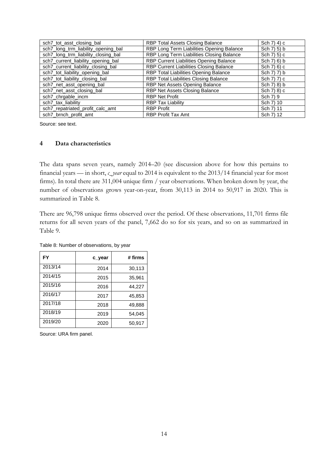| sch7_tot_asst_closing_bal           | RBP Total Assets Closing Balance          | Sch 7) 4) c  |
|-------------------------------------|-------------------------------------------|--------------|
| sch7_long_trm_liability_opening_bal | RBP Long Term Liabilities Opening Balance | Sch 7) 5) b  |
| sch7_long_trm_liability_closing_bal | RBP Long Term Liabilities Closing Balance | Sch 7) 5) c  |
| sch7_current_liability_opening_bal  | RBP Current Liabilities Opening Balance   | Sch 7) 6) b  |
| sch7_current_liability_closing_bal  | RBP Current Liabilities Closing Balance   | Sch $7(6)$ c |
| sch7_tot_liability_opening_bal      | RBP Total Liabilities Opening Balance     | Sch 7) 7) b  |
| sch7_tot_liability_closing_bal      | RBP Total Liabilities Closing Balance     | Sch 7) 7) c  |
| sch7_net_asst_opening_bal           | RBP Net Assets Opening Balance            | Sch 7) 8) b  |
| sch7_net_asst_closing_bal           | RBP Net Assets Closing Balance            | Sch 7) 8) c  |
| sch7_chrgable_incm                  | <b>RBP Net Profit</b>                     | Sch 7) 9     |
| sch7_tax_liability                  | <b>RBP Tax Liability</b>                  | Sch 7) 10    |
| sch7_repatriated_profit_calc_amt    | <b>RBP Profit</b>                         | Sch 7) 11    |
| sch7_brnch_profit_amt               | <b>RBP Profit Tax Amt</b>                 | Sch 7) 12    |

### **4 Data characteristics**

The data spans seven years, namely 2014–20 (see discussion above for how this pertains to financial years — in short, *c\_year* equal to 2014 is equivalent to the 2013/14 financial year for most firms). In total there are 311,004 unique firm / year observations. When broken down by year, the number of observations grows year-on-year, from 30,113 in 2014 to 50,917 in 2020. This is summarized in Table 8.

There are 96,798 unique firms observed over the period. Of these observations, 11,701 firms file returns for all seven years of the panel, 7,662 do so for six years, and so on as summarized in Table 9.

| FY      | c_year | # firms |
|---------|--------|---------|
| 2013/14 | 2014   | 30,113  |
| 2014/15 | 2015   | 35,961  |
| 2015/16 | 2016   | 44,227  |
| 2016/17 | 2017   | 45,853  |
| 2017/18 | 2018   | 49,888  |
| 2018/19 | 2019   | 54,045  |
| 2019/20 | 2020   | 50,917  |

Table 8: Number of observations, by year

Source: URA firm panel.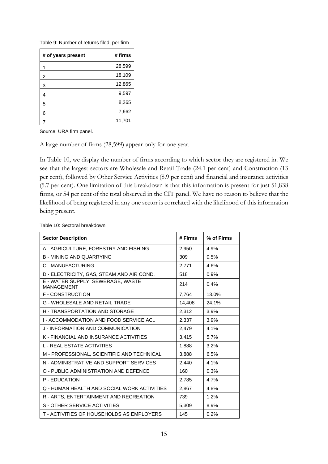Table 9: Number of returns filed, per firm

| # of years present | # firms |
|--------------------|---------|
|                    | 28,599  |
| 2                  | 18,109  |
| 3                  | 12,865  |
| 4                  | 9,597   |
| 5                  | 8,265   |
| 6                  | 7,662   |
|                    | 11,701  |

Source: URA firm panel.

A large number of firms (28,599) appear only for one year.

In Table 10, we display the number of firms according to which sector they are registered in. We see that the largest sectors are Wholesale and Retail Trade (24.1 per cent) and Construction (13 per cent), followed by Other Service Activities (8.9 per cent) and financial and insurance activities (5.7 per cent). One limitation of this breakdown is that this information is present for just 51,838 firms, or 54 per cent of the total observed in the CIT panel. We have no reason to believe that the likelihood of being registered in any one sector is correlated with the likelihood of this information being present.

| <b>Sector Description</b>                              | # Firms | % of Firms |  |
|--------------------------------------------------------|---------|------------|--|
| A - AGRICULTURE, FORESTRY AND FISHING                  | 2,950   | 4.9%       |  |
| <b>B - MINING AND QUARRYING</b>                        | 309     | 0.5%       |  |
| C - MANUFACTURING                                      | 2.771   | 4.6%       |  |
| D - ELECTRICITY, GAS, STEAM AND AIR COND.              | 518     | 0.9%       |  |
| E - WATER SUPPLY; SEWERAGE, WASTE<br><b>MANAGEMENT</b> | 214     | 0.4%       |  |
| <b>F-CONSTRUCTION</b>                                  | 7,764   | 13.0%      |  |
| <b>G - WHOLESALE AND RETAIL TRADE</b>                  | 14,408  | 24.1%      |  |
| <b>H - TRANSPORTATION AND STORAGE</b>                  | 2,312   | 3.9%       |  |
| I - ACCOMMODATION AND FOOD SERVICE AC                  | 2,337   | 3.9%       |  |
| J - INFORMATION AND COMMUNICATION                      | 2,479   | 4.1%       |  |
| K - FINANCIAL AND INSURANCE ACTIVITIES                 | 3,415   | 5.7%       |  |
| <b>L - REAL ESTATE ACTIVITIES</b>                      | 1,888   | 3.2%       |  |
| M - PROFESSIONAL, SCIENTIFIC AND TECHNICAL             | 3,888   | 6.5%       |  |
| N - ADMINISTRATIVE AND SUPPORT SERVICES                | 2,440   | 4.1%       |  |
| O - PUBLIC ADMINISTRATION AND DEFENCE                  | 160     | 0.3%       |  |
| P - EDUCATION                                          | 2,785   | 4.7%       |  |
| Q - HUMAN HEALTH AND SOCIAL WORK ACTIVITIES            | 2.867   | 4.8%       |  |
| R - ARTS, ENTERTAINMENT AND RECREATION                 | 739     | 1.2%       |  |
| S - OTHER SERVICE ACTIVITIES                           | 5,309   | 8.9%       |  |
| T - ACTIVITIES OF HOUSEHOLDS AS EMPLOYERS              | 145     | 0.2%       |  |

#### Table 10: Sectoral breakdown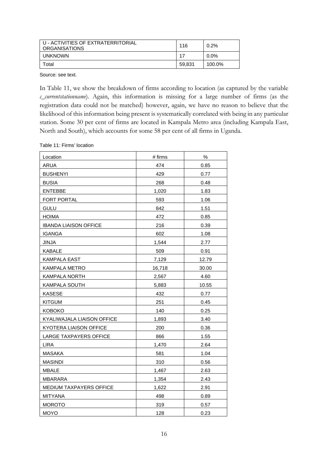| U - ACTIVITIES OF EXTRATERRITORIAL<br><b>ORGANISATIONS</b> | 116    | $0.2\%$ |
|------------------------------------------------------------|--------|---------|
| <b>UNKNOWN</b>                                             | 17     | $0.0\%$ |
| Total                                                      | 59.831 | 100.0%  |

In Table 11, we show the breakdown of firms according to location (as captured by the variable *c\_currentstationname*). Again, this information is missing for a large number of firms (as the registration data could not be matched) however, again, we have no reason to believe that the likelihood of this information being present is systematically correlated with being in any particular station. Some 30 per cent of firms are located in Kampala Metro area (including Kampala East, North and South), which accounts for some 58 per cent of all firms in Uganda.

Table 11: Firms' location

| Location                     | # firms | $\%$  |
|------------------------------|---------|-------|
| ARUA                         | 474     | 0.85  |
| <b>BUSHENYI</b>              | 429     | 0.77  |
| <b>BUSIA</b>                 | 268     | 0.48  |
| <b>ENTEBBE</b>               | 1,020   | 1.83  |
| FORT PORTAL                  | 593     | 1.06  |
| GULU                         | 842     | 1.51  |
| <b>HOIMA</b>                 | 472     | 0.85  |
| <b>IBANDA LIAISON OFFICE</b> | 216     | 0.39  |
| <b>IGANGA</b>                | 602     | 1.08  |
| JINJA                        | 1,544   | 2.77  |
| KABALE                       | 509     | 0.91  |
| KAMPALA EAST                 | 7,129   | 12.79 |
| KAMPALA METRO                | 16,718  | 30.00 |
| <b>KAMPALA NORTH</b>         | 2,567   | 4.60  |
| KAMPALA SOUTH                | 5,883   | 10.55 |
| <b>KASESE</b>                | 432     | 0.77  |
| <b>KITGUM</b>                | 251     | 0.45  |
| <b>KOBOKO</b>                | 140     | 0.25  |
| KYALIWAJALA LIAISON OFFICE   | 1,893   | 3.40  |
| KYOTERA LIAISON OFFICE       | 200     | 0.36  |
| LARGE TAXPAYERS OFFICE       | 866     | 1.55  |
| <b>LIRA</b>                  | 1,470   | 2.64  |
| <b>MASAKA</b>                | 581     | 1.04  |
| <b>MASINDI</b>               | 310     | 0.56  |
| <b>MBALE</b>                 | 1,467   | 2.63  |
| <b>MBARARA</b>               | 1,354   | 2.43  |
| MEDIUM TAXPAYERS OFFICE      | 1,622   | 2.91  |
| <b>MITYANA</b>               | 498     | 0.89  |
| <b>MOROTO</b>                | 319     | 0.57  |
| <b>MOYO</b>                  | 128     | 0.23  |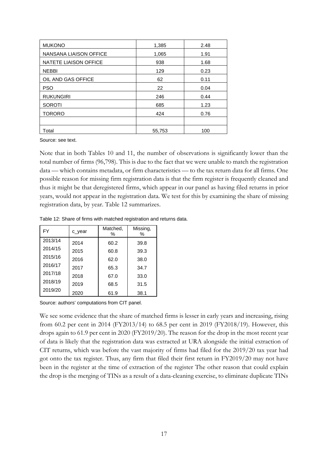| <b>MUKONO</b>          | 1,385  | 2.48 |
|------------------------|--------|------|
| NANSANA LIAISON OFFICE | 1,065  | 1.91 |
| NATETE LIAISON OFFICE  | 938    | 1.68 |
| <b>NEBBI</b>           | 129    | 0.23 |
| OIL AND GAS OFFICE     | 62     | 0.11 |
| <b>PSO</b>             | 22     | 0.04 |
| <b>RUKUNGIRI</b>       | 246    | 0.44 |
| <b>SOROTI</b>          | 685    | 1.23 |
| <b>TORORO</b>          | 424    | 0.76 |
|                        |        |      |
| Total                  | 55,753 | 100  |

Note that in both Tables 10 and 11, the number of observations is significantly lower than the total number of firms (96,798). This is due to the fact that we were unable to match the registration data — which contains metadata, or firm characteristics — to the tax return data for all firms. One possible reason for missing firm registration data is that the firm register is frequently cleaned and thus it might be that deregistered firms, which appear in our panel as having filed returns in prior years, would not appear in the registration data. We test for this by examining the share of missing registration data, by year. Table 12 summarizes.

Table 12: Share of firms with matched registration and returns data.

| FY      | c_year | Matched,<br>℅ | Missing,<br>℅ |
|---------|--------|---------------|---------------|
| 2013/14 | 2014   | 60.2          | 39.8          |
| 2014/15 | 2015   | 60.8          | 39.3          |
| 2015/16 | 2016   | 62.0          | 38.0          |
| 2016/17 | 2017   | 65.3          | 34.7          |
| 2017/18 | 2018   | 67.0          | 33.0          |
| 2018/19 | 2019   | 68.5          | 31.5          |
| 2019/20 | 2020   | 61.9          | 38.1          |

Source: authors' computations from CIT panel.

We see some evidence that the share of matched firms is lesser in early years and increasing, rising from 60.2 per cent in 2014 (FY2013/14) to 68.5 per cent in 2019 (FY2018/19). However, this drops again to 61.9 per cent in 2020 (FY2019/20). The reason for the drop in the most recent year of data is likely that the registration data was extracted at URA alongside the initial extraction of CIT returns, which was before the vast majority of firms had filed for the 2019/20 tax year had got onto the tax register. Thus, any firm that filed their first return in FY2019/20 may not have been in the register at the time of extraction of the register The other reason that could explain the drop is the merging of TINs as a result of a data-cleaning exercise, to eliminate duplicate TINs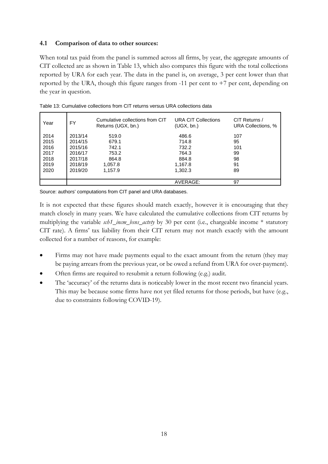## **4.1 Comparison of data to other sources:**

When total tax paid from the panel is summed across all firms, by year, the aggregate amounts of CIT collected are as shown in Table 13, which also compares this figure with the total collections reported by URA for each year. The data in the panel is, on average, 3 per cent lower than that reported by the URA, though this figure ranges from  $-11$  per cent to  $+7$  per cent, depending on the year in question.

| Year | FY      | Cumulative collections from CIT<br>Returns (UGX, bn.) | <b>URA CIT Collections</b><br>(UGX, bn.) | CIT Returns /<br>URA Collections, % |
|------|---------|-------------------------------------------------------|------------------------------------------|-------------------------------------|
| 2014 | 2013/14 | 519.0                                                 | 486.6                                    | 107                                 |
| 2015 | 2014/15 | 679.1                                                 | 714.8                                    | 95                                  |
| 2016 | 2015/16 | 742.1                                                 | 732.2                                    | 101                                 |
| 2017 | 2016/17 | 753.2                                                 | 764.3                                    | 99                                  |
| 2018 | 2017/18 | 864.8                                                 | 884.8                                    | 98                                  |
| 2019 | 2018/19 | 1,057.8                                               | 1,167.8                                  | 91                                  |
| 2020 | 2019/20 | 1,157.9                                               | 1,302.3                                  | 89                                  |
|      |         |                                                       |                                          |                                     |
|      |         |                                                       | AVERAGE:                                 | 97                                  |

Table 13: Cumulative collections from CIT returns versus URA collections data

Source: authors' computations from CIT panel and URA databases.

It is not expected that these figures should match exactly, however it is encouraging that they match closely in many years. We have calculated the cumulative collections from CIT returns by multiplying the variable *sch1* incm bsns actvty by 30 per cent (i.e., chargeable income \* statutory CIT rate). A firms' tax liability from their CIT return may not match exactly with the amount collected for a number of reasons, for example:

- Firms may not have made payments equal to the exact amount from the return (they may be paying arrears from the previous year, or be owed a refund from URA for over-payment).
- Often firms are required to resubmit a return following (e.g.) audit.
- The 'accuracy' of the returns data is noticeably lower in the most recent two financial years. This may be because some firms have not yet filed returns for those periods, but have (e.g., due to constraints following COVID-19).